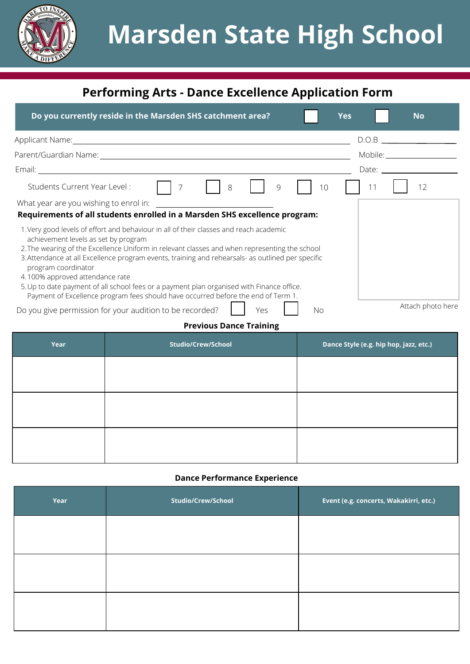

# **Performing Arts - Dance Excellence Application Form**

| Do you currently reside in the Marsden SHS catchment area?                                                                                                                                                                                                                                                                                                                                                                                                                                                                                                                                                                                          | Yes | <b>No</b>                                                                                                       |
|-----------------------------------------------------------------------------------------------------------------------------------------------------------------------------------------------------------------------------------------------------------------------------------------------------------------------------------------------------------------------------------------------------------------------------------------------------------------------------------------------------------------------------------------------------------------------------------------------------------------------------------------------------|-----|-----------------------------------------------------------------------------------------------------------------|
| Applicant Name: Name: Name and Applicant Name and Applicant Name and Applicant Material Applicant Material Applicant Material Applicant Material Applicant Material Applicant Material Applicant Material Applicant Material A                                                                                                                                                                                                                                                                                                                                                                                                                      |     | D.O.B                                                                                                           |
| Parent/Guardian Name: Name and the contract of the contract of the contract of the contract of the contract of                                                                                                                                                                                                                                                                                                                                                                                                                                                                                                                                      |     |                                                                                                                 |
|                                                                                                                                                                                                                                                                                                                                                                                                                                                                                                                                                                                                                                                     |     | Date: and the part of the part of the part of the part of the part of the part of the part of the part of the p |
| Students Current Year Level:<br>8<br>9                                                                                                                                                                                                                                                                                                                                                                                                                                                                                                                                                                                                              | 10  | 12<br>11                                                                                                        |
| What year are you wishing to enrol in:<br>Requirements of all students enrolled in a Marsden SHS excellence program:                                                                                                                                                                                                                                                                                                                                                                                                                                                                                                                                |     |                                                                                                                 |
| 1. Very good levels of effort and behaviour in all of their classes and reach academic<br>achievement levels as set by program<br>2. The wearing of the Excellence Uniform in relevant classes and when representing the school<br>3. Attendance at all Excellence program events, training and rehearsals- as outlined per specific<br>program coordinator<br>4.100% approved attendance rate<br>5. Up to date payment of all school fees or a payment plan organised with Finance office.<br>Payment of Excellence program fees should have occurred before the end of Term 1.<br>Do you give permission for your audition to be recorded?<br>Yes | No. | Attach photo here                                                                                               |
| <b>Previous Dance Training</b>                                                                                                                                                                                                                                                                                                                                                                                                                                                                                                                                                                                                                      |     |                                                                                                                 |

| Year | <b>Studio/Crew/School</b> | Dance Style (e.g. hip hop, jazz, etc.) |
|------|---------------------------|----------------------------------------|
|      |                           |                                        |
|      |                           |                                        |
|      |                           |                                        |
|      |                           |                                        |

### **Dance Performance Experience**

| Year | Studio/Crew/School | Event (e.g. concerts, Wakakirri, etc.) |
|------|--------------------|----------------------------------------|
|      |                    |                                        |
|      |                    |                                        |
|      |                    |                                        |
|      |                    |                                        |